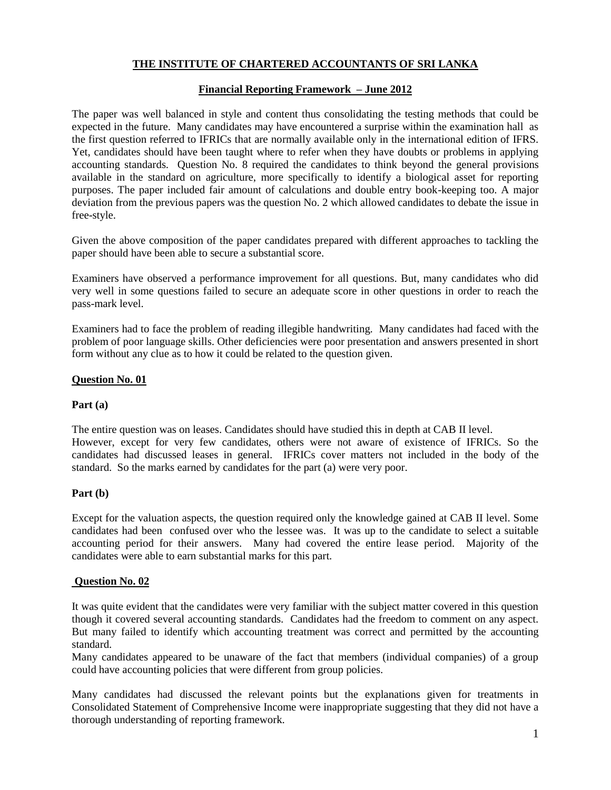# **THE INSTITUTE OF CHARTERED ACCOUNTANTS OF SRI LANKA**

#### **Financial Reporting Framework – June 2012**

The paper was well balanced in style and content thus consolidating the testing methods that could be expected in the future. Many candidates may have encountered a surprise within the examination hall as the first question referred to IFRICs that are normally available only in the international edition of IFRS. Yet, candidates should have been taught where to refer when they have doubts or problems in applying accounting standards. Question No. 8 required the candidates to think beyond the general provisions available in the standard on agriculture, more specifically to identify a biological asset for reporting purposes. The paper included fair amount of calculations and double entry book-keeping too. A major deviation from the previous papers was the question No. 2 which allowed candidates to debate the issue in free-style.

Given the above composition of the paper candidates prepared with different approaches to tackling the paper should have been able to secure a substantial score.

Examiners have observed a performance improvement for all questions. But, many candidates who did very well in some questions failed to secure an adequate score in other questions in order to reach the pass-mark level.

Examiners had to face the problem of reading illegible handwriting. Many candidates had faced with the problem of poor language skills. Other deficiencies were poor presentation and answers presented in short form without any clue as to how it could be related to the question given.

#### **Question No. 01**

#### **Part (a)**

The entire question was on leases. Candidates should have studied this in depth at CAB II level. However, except for very few candidates, others were not aware of existence of IFRICs. So the candidates had discussed leases in general. IFRICs cover matters not included in the body of the standard. So the marks earned by candidates for the part (a) were very poor.

#### **Part (b)**

Except for the valuation aspects, the question required only the knowledge gained at CAB II level. Some candidates had been confused over who the lessee was. It was up to the candidate to select a suitable accounting period for their answers. Many had covered the entire lease period. Majority of the candidates were able to earn substantial marks for this part.

### **Question No. 02**

It was quite evident that the candidates were very familiar with the subject matter covered in this question though it covered several accounting standards. Candidates had the freedom to comment on any aspect. But many failed to identify which accounting treatment was correct and permitted by the accounting standard.

Many candidates appeared to be unaware of the fact that members (individual companies) of a group could have accounting policies that were different from group policies.

Many candidates had discussed the relevant points but the explanations given for treatments in Consolidated Statement of Comprehensive Income were inappropriate suggesting that they did not have a thorough understanding of reporting framework.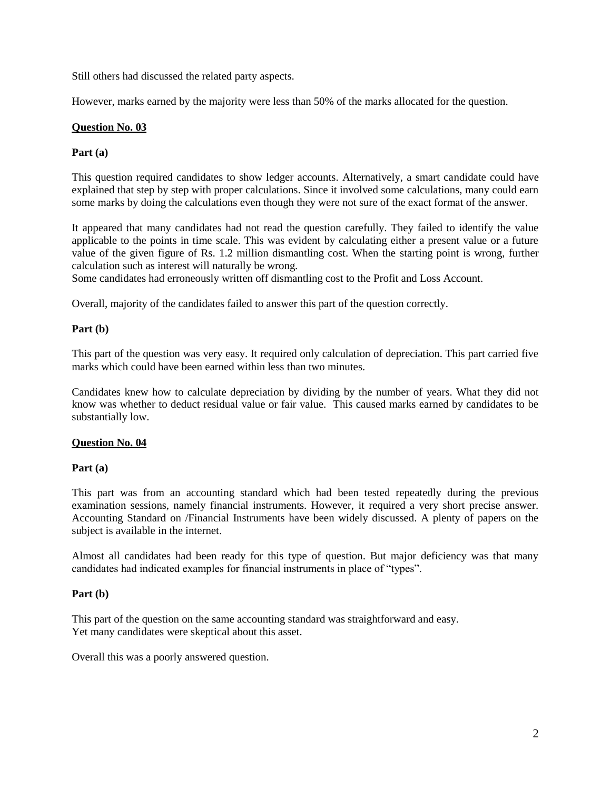Still others had discussed the related party aspects.

However, marks earned by the majority were less than 50% of the marks allocated for the question.

# **Question No. 03**

# **Part (a)**

This question required candidates to show ledger accounts. Alternatively, a smart candidate could have explained that step by step with proper calculations. Since it involved some calculations, many could earn some marks by doing the calculations even though they were not sure of the exact format of the answer.

It appeared that many candidates had not read the question carefully. They failed to identify the value applicable to the points in time scale. This was evident by calculating either a present value or a future value of the given figure of Rs. 1.2 million dismantling cost. When the starting point is wrong, further calculation such as interest will naturally be wrong.

Some candidates had erroneously written off dismantling cost to the Profit and Loss Account.

Overall, majority of the candidates failed to answer this part of the question correctly.

# **Part (b)**

This part of the question was very easy. It required only calculation of depreciation. This part carried five marks which could have been earned within less than two minutes.

Candidates knew how to calculate depreciation by dividing by the number of years. What they did not know was whether to deduct residual value or fair value. This caused marks earned by candidates to be substantially low.

# **Question No. 04**

### **Part (a)**

This part was from an accounting standard which had been tested repeatedly during the previous examination sessions, namely financial instruments. However, it required a very short precise answer. Accounting Standard on /Financial Instruments have been widely discussed. A plenty of papers on the subject is available in the internet.

Almost all candidates had been ready for this type of question. But major deficiency was that many candidates had indicated examples for financial instruments in place of "types".

### **Part (b)**

This part of the question on the same accounting standard was straightforward and easy. Yet many candidates were skeptical about this asset.

Overall this was a poorly answered question.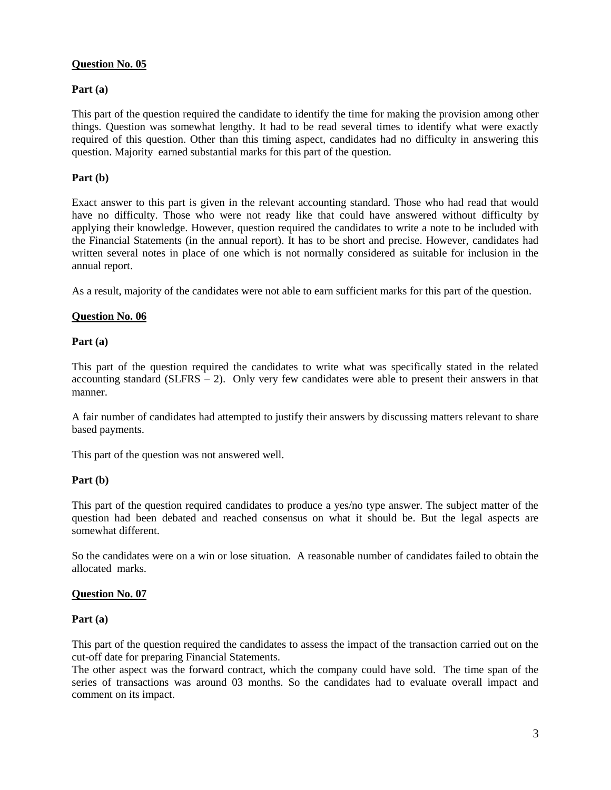# **Part (a)**

This part of the question required the candidate to identify the time for making the provision among other things. Question was somewhat lengthy. It had to be read several times to identify what were exactly required of this question. Other than this timing aspect, candidates had no difficulty in answering this question. Majority earned substantial marks for this part of the question.

## **Part (b)**

Exact answer to this part is given in the relevant accounting standard. Those who had read that would have no difficulty. Those who were not ready like that could have answered without difficulty by applying their knowledge. However, question required the candidates to write a note to be included with the Financial Statements (in the annual report). It has to be short and precise. However, candidates had written several notes in place of one which is not normally considered as suitable for inclusion in the annual report.

As a result, majority of the candidates were not able to earn sufficient marks for this part of the question.

# **Question No. 06**

### **Part (a)**

This part of the question required the candidates to write what was specifically stated in the related accounting standard (SLFRS – 2). Only very few candidates were able to present their answers in that manner.

A fair number of candidates had attempted to justify their answers by discussing matters relevant to share based payments.

This part of the question was not answered well.

# **Part (b)**

This part of the question required candidates to produce a yes/no type answer. The subject matter of the question had been debated and reached consensus on what it should be. But the legal aspects are somewhat different.

So the candidates were on a win or lose situation. A reasonable number of candidates failed to obtain the allocated marks.

### **Question No. 07**

# **Part (a)**

This part of the question required the candidates to assess the impact of the transaction carried out on the cut-off date for preparing Financial Statements.

The other aspect was the forward contract, which the company could have sold. The time span of the series of transactions was around 03 months. So the candidates had to evaluate overall impact and comment on its impact.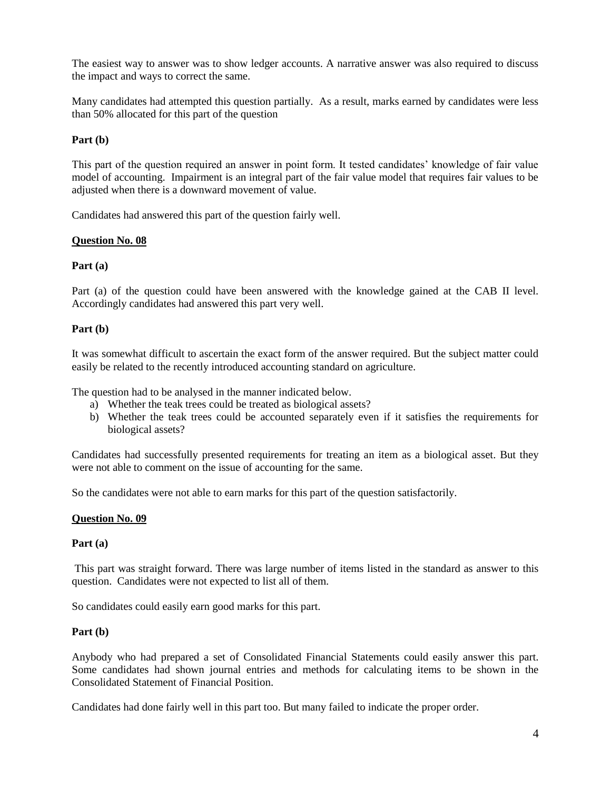The easiest way to answer was to show ledger accounts. A narrative answer was also required to discuss the impact and ways to correct the same.

Many candidates had attempted this question partially. As a result, marks earned by candidates were less than 50% allocated for this part of the question

# **Part (b)**

This part of the question required an answer in point form. It tested candidates' knowledge of fair value model of accounting. Impairment is an integral part of the fair value model that requires fair values to be adjusted when there is a downward movement of value.

Candidates had answered this part of the question fairly well.

### **Question No. 08**

# **Part (a)**

Part (a) of the question could have been answered with the knowledge gained at the CAB II level. Accordingly candidates had answered this part very well.

# **Part (b)**

It was somewhat difficult to ascertain the exact form of the answer required. But the subject matter could easily be related to the recently introduced accounting standard on agriculture.

The question had to be analysed in the manner indicated below.

- a) Whether the teak trees could be treated as biological assets?
- b) Whether the teak trees could be accounted separately even if it satisfies the requirements for biological assets?

Candidates had successfully presented requirements for treating an item as a biological asset. But they were not able to comment on the issue of accounting for the same.

So the candidates were not able to earn marks for this part of the question satisfactorily.

### **Question No. 09**

### **Part (a)**

This part was straight forward. There was large number of items listed in the standard as answer to this question. Candidates were not expected to list all of them.

So candidates could easily earn good marks for this part.

### **Part (b)**

Anybody who had prepared a set of Consolidated Financial Statements could easily answer this part. Some candidates had shown journal entries and methods for calculating items to be shown in the Consolidated Statement of Financial Position.

Candidates had done fairly well in this part too. But many failed to indicate the proper order.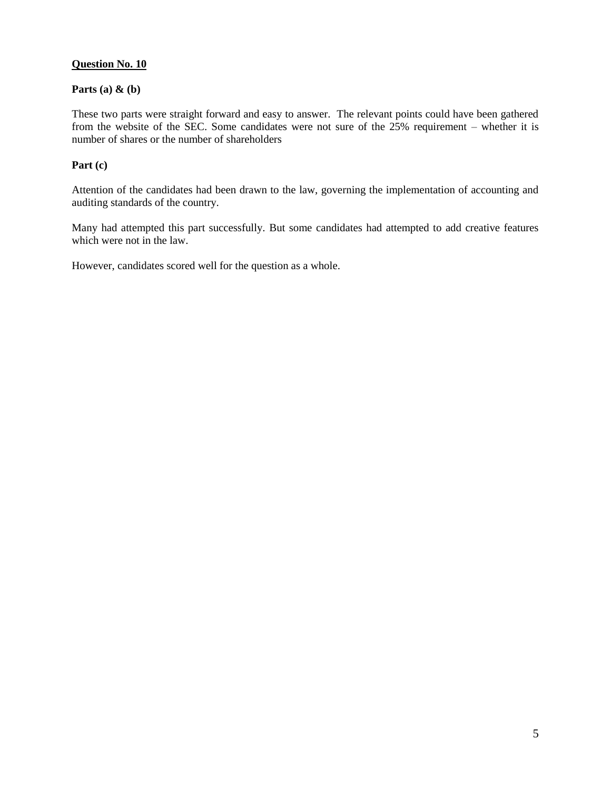### **Parts (a) & (b)**

These two parts were straight forward and easy to answer. The relevant points could have been gathered from the website of the SEC. Some candidates were not sure of the 25% requirement – whether it is number of shares or the number of shareholders

## **Part (c)**

Attention of the candidates had been drawn to the law, governing the implementation of accounting and auditing standards of the country.

Many had attempted this part successfully. But some candidates had attempted to add creative features which were not in the law.

However, candidates scored well for the question as a whole.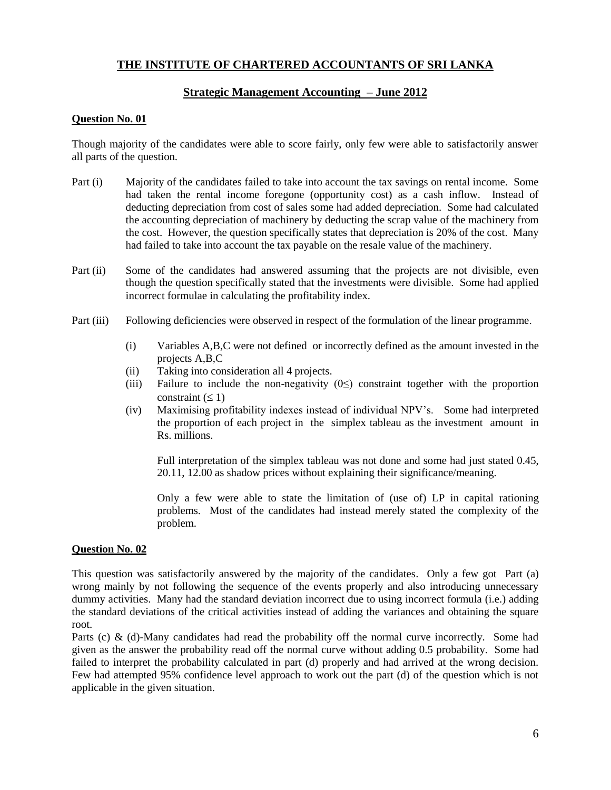# **THE INSTITUTE OF CHARTERED ACCOUNTANTS OF SRI LANKA**

# **Strategic Management Accounting – June 2012**

### **Question No. 01**

Though majority of the candidates were able to score fairly, only few were able to satisfactorily answer all parts of the question.

- Part (i) Majority of the candidates failed to take into account the tax savings on rental income. Some had taken the rental income foregone (opportunity cost) as a cash inflow. Instead of deducting depreciation from cost of sales some had added depreciation. Some had calculated the accounting depreciation of machinery by deducting the scrap value of the machinery from the cost. However, the question specifically states that depreciation is 20% of the cost. Many had failed to take into account the tax payable on the resale value of the machinery.
- Part (ii) Some of the candidates had answered assuming that the projects are not divisible, even though the question specifically stated that the investments were divisible. Some had applied incorrect formulae in calculating the profitability index.
- Part (iii) Following deficiencies were observed in respect of the formulation of the linear programme.
	- (i) Variables A,B,C were not defined or incorrectly defined as the amount invested in the projects A,B,C
	- (ii) Taking into consideration all 4 projects.
	- (iii) Failure to include the non-negativity  $(0 \leq)$  constraint together with the proportion constraint  $( \leq 1)$
	- (iv) Maximising profitability indexes instead of individual NPV"s. Some had interpreted the proportion of each project in the simplex tableau as the investment amount in Rs. millions.

Full interpretation of the simplex tableau was not done and some had just stated 0.45, 20.11, 12.00 as shadow prices without explaining their significance/meaning.

Only a few were able to state the limitation of (use of) LP in capital rationing problems. Most of the candidates had instead merely stated the complexity of the problem.

### **Question No. 02**

This question was satisfactorily answered by the majority of the candidates. Only a few got Part (a) wrong mainly by not following the sequence of the events properly and also introducing unnecessary dummy activities. Many had the standard deviation incorrect due to using incorrect formula (i.e.) adding the standard deviations of the critical activities instead of adding the variances and obtaining the square root.

Parts (c) & (d)-Many candidates had read the probability off the normal curve incorrectly. Some had given as the answer the probability read off the normal curve without adding 0.5 probability. Some had failed to interpret the probability calculated in part (d) properly and had arrived at the wrong decision. Few had attempted 95% confidence level approach to work out the part (d) of the question which is not applicable in the given situation.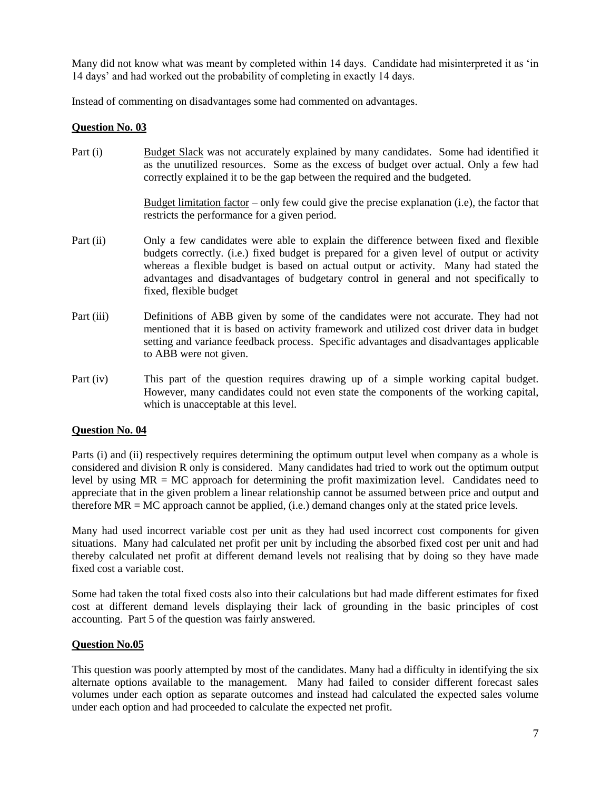Many did not know what was meant by completed within 14 days. Candidate had misinterpreted it as "in 14 days" and had worked out the probability of completing in exactly 14 days.

Instead of commenting on disadvantages some had commented on advantages.

# **Question No. 03**

Part (i) Budget Slack was not accurately explained by many candidates. Some had identified it as the unutilized resources. Some as the excess of budget over actual. Only a few had correctly explained it to be the gap between the required and the budgeted.

> Budget limitation factor – only few could give the precise explanation (i.e), the factor that restricts the performance for a given period.

- Part (ii) Only a few candidates were able to explain the difference between fixed and flexible budgets correctly. (i.e.) fixed budget is prepared for a given level of output or activity whereas a flexible budget is based on actual output or activity. Many had stated the advantages and disadvantages of budgetary control in general and not specifically to fixed, flexible budget
- Part (iii) Definitions of ABB given by some of the candidates were not accurate. They had not mentioned that it is based on activity framework and utilized cost driver data in budget setting and variance feedback process. Specific advantages and disadvantages applicable to ABB were not given.
- Part (iv) This part of the question requires drawing up of a simple working capital budget. However, many candidates could not even state the components of the working capital, which is unacceptable at this level.

### **Question No. 04**

Parts (i) and (ii) respectively requires determining the optimum output level when company as a whole is considered and division R only is considered. Many candidates had tried to work out the optimum output level by using  $MR = MC$  approach for determining the profit maximization level. Candidates need to appreciate that in the given problem a linear relationship cannot be assumed between price and output and therefore MR = MC approach cannot be applied, (i.e.) demand changes only at the stated price levels.

Many had used incorrect variable cost per unit as they had used incorrect cost components for given situations. Many had calculated net profit per unit by including the absorbed fixed cost per unit and had thereby calculated net profit at different demand levels not realising that by doing so they have made fixed cost a variable cost.

Some had taken the total fixed costs also into their calculations but had made different estimates for fixed cost at different demand levels displaying their lack of grounding in the basic principles of cost accounting. Part 5 of the question was fairly answered.

### **Question No.05**

This question was poorly attempted by most of the candidates. Many had a difficulty in identifying the six alternate options available to the management. Many had failed to consider different forecast sales volumes under each option as separate outcomes and instead had calculated the expected sales volume under each option and had proceeded to calculate the expected net profit.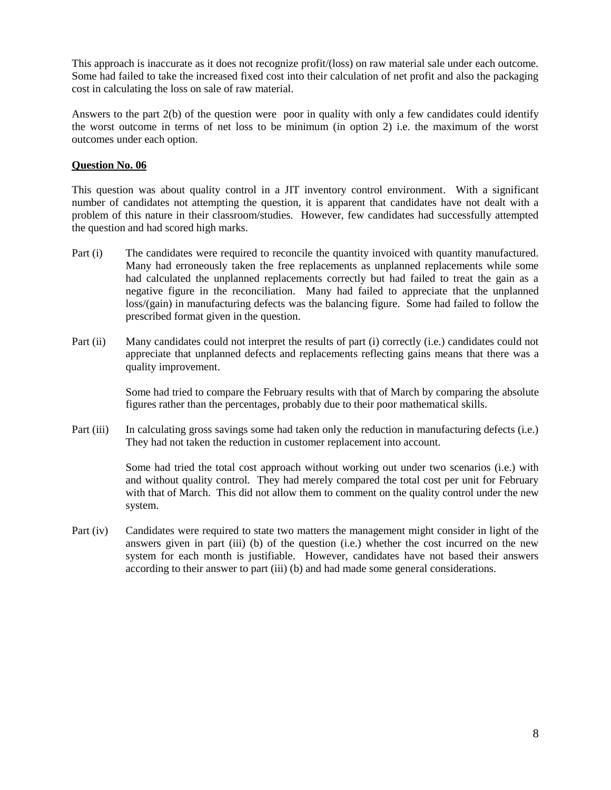This approach is inaccurate as it does not recognize profit/(loss) on raw material sale under each outcome. Some had failed to take the increased fixed cost into their calculation of net profit and also the packaging cost in calculating the loss on sale of raw material.

Answers to the part 2(b) of the question were poor in quality with only a few candidates could identify the worst outcome in terms of net loss to be minimum (in option 2) i.e. the maximum of the worst outcomes under each option.

# **Question No. 06**

This question was about quality control in a JIT inventory control environment. With a significant number of candidates not attempting the question, it is apparent that candidates have not dealt with a problem of this nature in their classroom/studies. However, few candidates had successfully attempted the question and had scored high marks.

- Part (i) The candidates were required to reconcile the quantity invoiced with quantity manufactured. Many had erroneously taken the free replacements as unplanned replacements while some had calculated the unplanned replacements correctly but had failed to treat the gain as a negative figure in the reconciliation. Many had failed to appreciate that the unplanned loss/(gain) in manufacturing defects was the balancing figure. Some had failed to follow the prescribed format given in the question.
- Part (ii) Many candidates could not interpret the results of part (i) correctly (i.e.) candidates could not appreciate that unplanned defects and replacements reflecting gains means that there was a quality improvement.

Some had tried to compare the February results with that of March by comparing the absolute figures rather than the percentages, probably due to their poor mathematical skills.

Part (iii) In calculating gross savings some had taken only the reduction in manufacturing defects (i.e.) They had not taken the reduction in customer replacement into account.

> Some had tried the total cost approach without working out under two scenarios (i.e.) with and without quality control. They had merely compared the total cost per unit for February with that of March. This did not allow them to comment on the quality control under the new system.

Part (iv) Candidates were required to state two matters the management might consider in light of the answers given in part (iii) (b) of the question (i.e.) whether the cost incurred on the new system for each month is justifiable. However, candidates have not based their answers according to their answer to part (iii) (b) and had made some general considerations.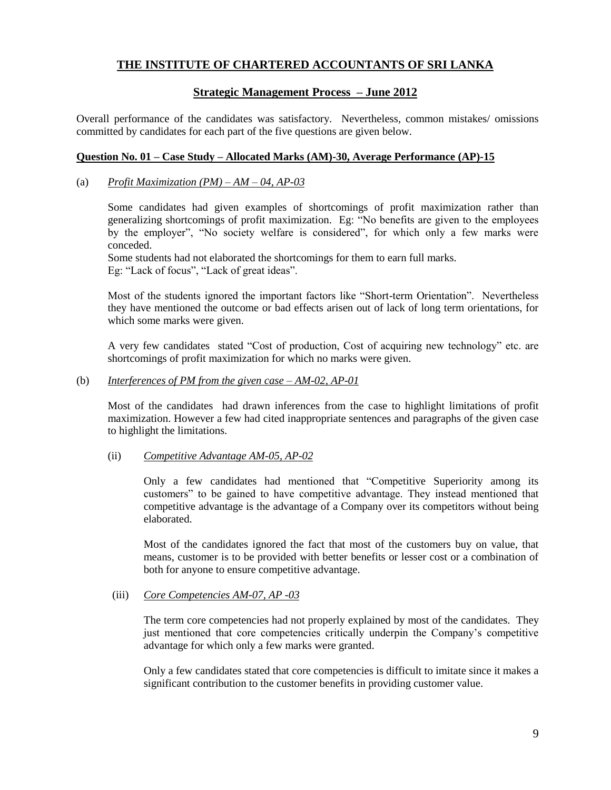# **THE INSTITUTE OF CHARTERED ACCOUNTANTS OF SRI LANKA**

# **Strategic Management Process – June 2012**

Overall performance of the candidates was satisfactory. Nevertheless, common mistakes/ omissions committed by candidates for each part of the five questions are given below.

### **Question No. 01 – Case Study – Allocated Marks (AM)-30, Average Performance (AP)-15**

#### (a) *Profit Maximization (PM) – AM – 04, AP-03*

Some candidates had given examples of shortcomings of profit maximization rather than generalizing shortcomings of profit maximization. Eg: "No benefits are given to the employees by the employer", "No society welfare is considered", for which only a few marks were conceded.

Some students had not elaborated the shortcomings for them to earn full marks. Eg: "Lack of focus", "Lack of great ideas".

Most of the students ignored the important factors like "Short-term Orientation". Nevertheless they have mentioned the outcome or bad effects arisen out of lack of long term orientations, for which some marks were given.

A very few candidates stated "Cost of production, Cost of acquiring new technology" etc. are shortcomings of profit maximization for which no marks were given.

#### (b) *Interferences of PM from the given case – AM-02, AP-01*

Most of the candidates had drawn inferences from the case to highlight limitations of profit maximization. However a few had cited inappropriate sentences and paragraphs of the given case to highlight the limitations.

### (ii) *Competitive Advantage AM-05, AP-02*

Only a few candidates had mentioned that "Competitive Superiority among its customers" to be gained to have competitive advantage. They instead mentioned that competitive advantage is the advantage of a Company over its competitors without being elaborated.

Most of the candidates ignored the fact that most of the customers buy on value, that means, customer is to be provided with better benefits or lesser cost or a combination of both for anyone to ensure competitive advantage.

#### (iii) *Core Competencies AM-07, AP -03*

The term core competencies had not properly explained by most of the candidates. They just mentioned that core competencies critically underpin the Company"s competitive advantage for which only a few marks were granted.

Only a few candidates stated that core competencies is difficult to imitate since it makes a significant contribution to the customer benefits in providing customer value.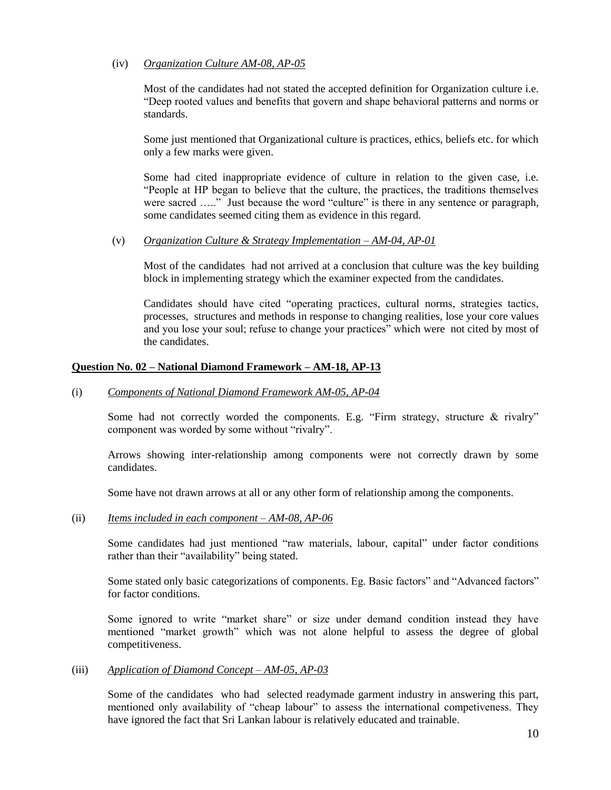### (iv) *Organization Culture AM-08, AP-05*

Most of the candidates had not stated the accepted definition for Organization culture i.e. "Deep rooted values and benefits that govern and shape behavioral patterns and norms or standards.

Some just mentioned that Organizational culture is practices, ethics, beliefs etc. for which only a few marks were given.

Some had cited inappropriate evidence of culture in relation to the given case, i.e. "People at HP began to believe that the culture, the practices, the traditions themselves were sacred ....." Just because the word "culture" is there in any sentence or paragraph, some candidates seemed citing them as evidence in this regard.

#### (v) *Organization Culture & Strategy Implementation – AM-04, AP-01*

Most of the candidates had not arrived at a conclusion that culture was the key building block in implementing strategy which the examiner expected from the candidates.

Candidates should have cited "operating practices, cultural norms, strategies tactics, processes, structures and methods in response to changing realities, lose your core values and you lose your soul; refuse to change your practices" which were not cited by most of the candidates.

### **Question No. 02 – National Diamond Framework – AM-18, AP-13**

#### (i) *Components of National Diamond Framework AM-05, AP-04*

Some had not correctly worded the components. E.g. "Firm strategy, structure & rivalry" component was worded by some without "rivalry".

Arrows showing inter-relationship among components were not correctly drawn by some candidates.

Some have not drawn arrows at all or any other form of relationship among the components.

#### (ii) *Items included in each component – AM-08, AP-06*

Some candidates had just mentioned "raw materials, labour, capital" under factor conditions rather than their "availability" being stated.

Some stated only basic categorizations of components. Eg. Basic factors" and "Advanced factors" for factor conditions.

Some ignored to write "market share" or size under demand condition instead they have mentioned "market growth" which was not alone helpful to assess the degree of global competitiveness.

#### (iii) *Application of Diamond Concept – AM-05, AP-03*

Some of the candidates who had selected readymade garment industry in answering this part, mentioned only availability of "cheap labour" to assess the international competiveness. They have ignored the fact that Sri Lankan labour is relatively educated and trainable.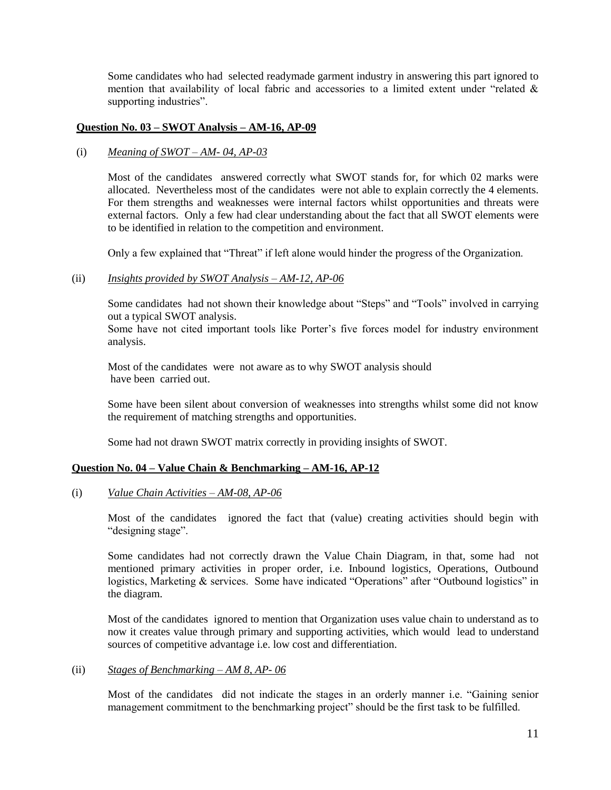Some candidates who had selected readymade garment industry in answering this part ignored to mention that availability of local fabric and accessories to a limited extent under "related & supporting industries".

#### **Question No. 03 – SWOT Analysis – AM-16, AP-09**

#### (i) *Meaning of SWOT – AM- 04, AP-03*

Most of the candidates answered correctly what SWOT stands for, for which 02 marks were allocated. Nevertheless most of the candidates were not able to explain correctly the 4 elements. For them strengths and weaknesses were internal factors whilst opportunities and threats were external factors. Only a few had clear understanding about the fact that all SWOT elements were to be identified in relation to the competition and environment.

Only a few explained that "Threat" if left alone would hinder the progress of the Organization.

#### (ii) *Insights provided by SWOT Analysis – AM-12, AP-06*

Some candidates had not shown their knowledge about "Steps" and "Tools" involved in carrying out a typical SWOT analysis.

Some have not cited important tools like Porter's five forces model for industry environment analysis.

Most of the candidates were not aware as to why SWOT analysis should have been carried out.

Some have been silent about conversion of weaknesses into strengths whilst some did not know the requirement of matching strengths and opportunities.

Some had not drawn SWOT matrix correctly in providing insights of SWOT.

#### **Question No. 04 – Value Chain & Benchmarking – AM-16, AP-12**

#### (i) *Value Chain Activities – AM-08, AP-06*

Most of the candidates ignored the fact that (value) creating activities should begin with "designing stage".

Some candidates had not correctly drawn the Value Chain Diagram, in that, some had not mentioned primary activities in proper order, i.e. Inbound logistics, Operations, Outbound logistics, Marketing & services. Some have indicated "Operations" after "Outbound logistics" in the diagram.

Most of the candidates ignored to mention that Organization uses value chain to understand as to now it creates value through primary and supporting activities, which would lead to understand sources of competitive advantage i.e. low cost and differentiation.

# (ii) *Stages of Benchmarking – AM 8, AP- 06*

Most of the candidates did not indicate the stages in an orderly manner i.e. "Gaining senior management commitment to the benchmarking project" should be the first task to be fulfilled.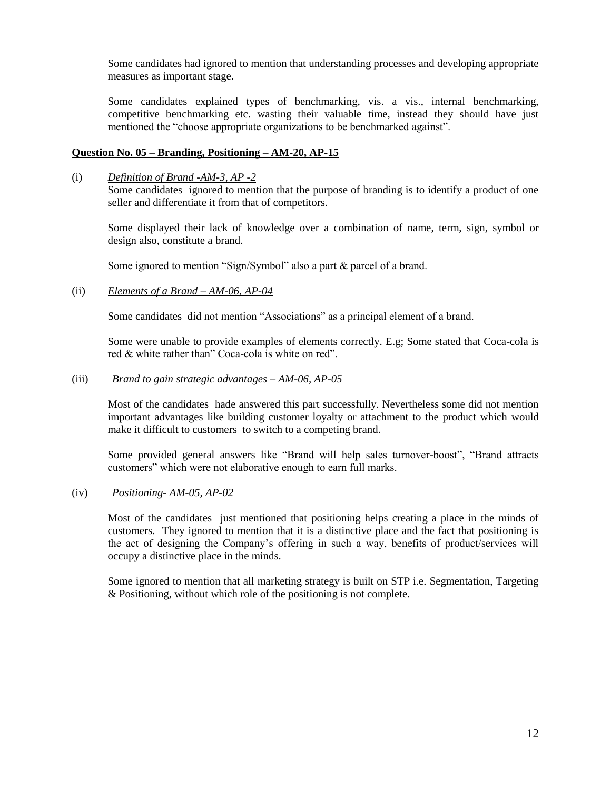Some candidates had ignored to mention that understanding processes and developing appropriate measures as important stage.

Some candidates explained types of benchmarking, vis. a vis., internal benchmarking, competitive benchmarking etc. wasting their valuable time, instead they should have just mentioned the "choose appropriate organizations to be benchmarked against".

### **Question No. 05 – Branding, Positioning – AM-20, AP-15**

(i) *Definition of Brand -AM-3, AP -2* 

Some candidates ignored to mention that the purpose of branding is to identify a product of one seller and differentiate it from that of competitors.

Some displayed their lack of knowledge over a combination of name, term, sign, symbol or design also, constitute a brand.

Some ignored to mention "Sign/Symbol" also a part & parcel of a brand.

(ii) *Elements of a Brand – AM-06, AP-04*

Some candidates did not mention "Associations" as a principal element of a brand.

Some were unable to provide examples of elements correctly. E.g; Some stated that Coca-cola is red & white rather than" Coca-cola is white on red".

#### (iii) *Brand to gain strategic advantages – AM-06, AP-05*

Most of the candidates hade answered this part successfully. Nevertheless some did not mention important advantages like building customer loyalty or attachment to the product which would make it difficult to customers to switch to a competing brand.

Some provided general answers like "Brand will help sales turnover-boost", "Brand attracts customers" which were not elaborative enough to earn full marks.

#### (iv) *Positioning- AM-05, AP-02*

Most of the candidates just mentioned that positioning helps creating a place in the minds of customers. They ignored to mention that it is a distinctive place and the fact that positioning is the act of designing the Company"s offering in such a way, benefits of product/services will occupy a distinctive place in the minds.

Some ignored to mention that all marketing strategy is built on STP i.e. Segmentation, Targeting & Positioning, without which role of the positioning is not complete.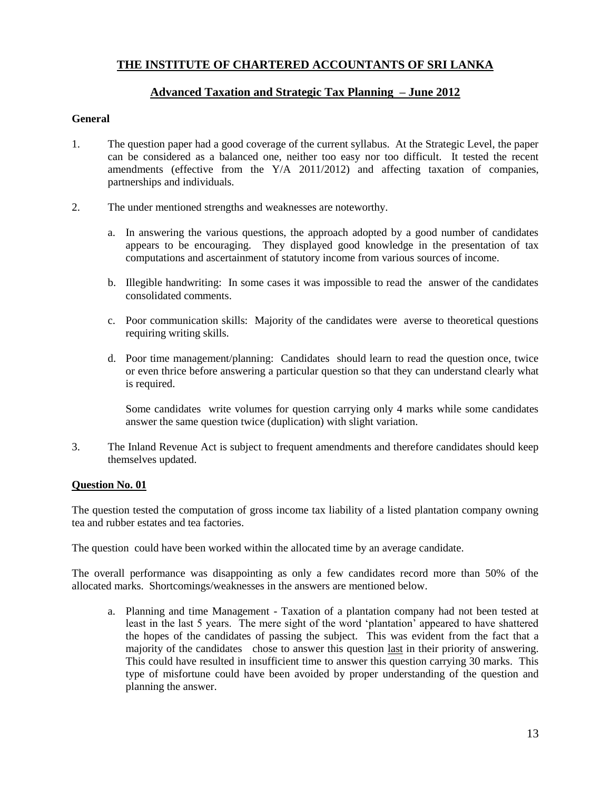# **THE INSTITUTE OF CHARTERED ACCOUNTANTS OF SRI LANKA**

# **Advanced Taxation and Strategic Tax Planning – June 2012**

## **General**

- 1. The question paper had a good coverage of the current syllabus. At the Strategic Level, the paper can be considered as a balanced one, neither too easy nor too difficult. It tested the recent amendments (effective from the Y/A 2011/2012) and affecting taxation of companies, partnerships and individuals.
- 2. The under mentioned strengths and weaknesses are noteworthy.
	- a. In answering the various questions, the approach adopted by a good number of candidates appears to be encouraging. They displayed good knowledge in the presentation of tax computations and ascertainment of statutory income from various sources of income.
	- b. Illegible handwriting: In some cases it was impossible to read the answer of the candidates consolidated comments.
	- c. Poor communication skills: Majority of the candidates were averse to theoretical questions requiring writing skills.
	- d. Poor time management/planning: Candidates should learn to read the question once, twice or even thrice before answering a particular question so that they can understand clearly what is required.

Some candidates write volumes for question carrying only 4 marks while some candidates answer the same question twice (duplication) with slight variation.

3. The Inland Revenue Act is subject to frequent amendments and therefore candidates should keep themselves updated.

# **Question No. 01**

The question tested the computation of gross income tax liability of a listed plantation company owning tea and rubber estates and tea factories.

The question could have been worked within the allocated time by an average candidate.

The overall performance was disappointing as only a few candidates record more than 50% of the allocated marks. Shortcomings/weaknesses in the answers are mentioned below.

a. Planning and time Management - Taxation of a plantation company had not been tested at least in the last 5 years. The mere sight of the word "plantation" appeared to have shattered the hopes of the candidates of passing the subject. This was evident from the fact that a majority of the candidates chose to answer this question last in their priority of answering. This could have resulted in insufficient time to answer this question carrying 30 marks. This type of misfortune could have been avoided by proper understanding of the question and planning the answer.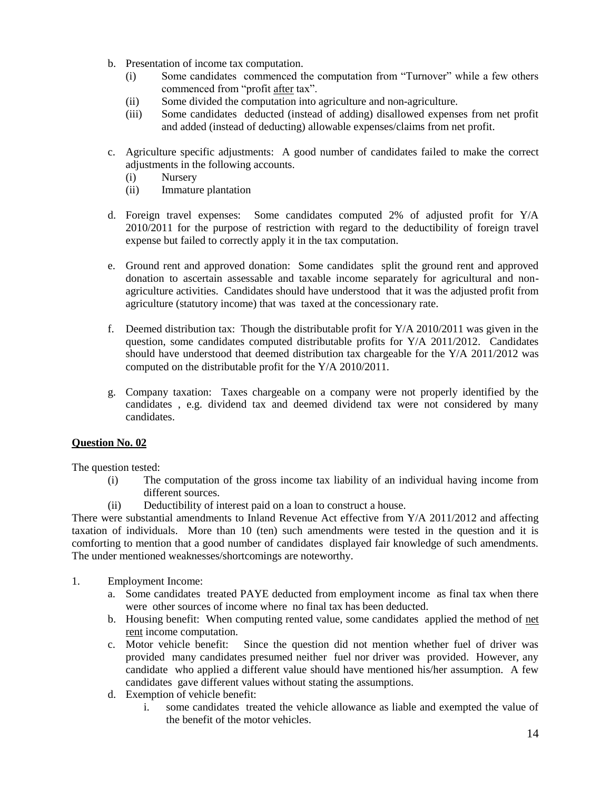- b. Presentation of income tax computation.
	- (i) Some candidates commenced the computation from "Turnover" while a few others commenced from "profit after tax".
	- (ii) Some divided the computation into agriculture and non-agriculture.
	- (iii) Some candidates deducted (instead of adding) disallowed expenses from net profit and added (instead of deducting) allowable expenses/claims from net profit.
- c. Agriculture specific adjustments: A good number of candidates failed to make the correct adjustments in the following accounts.
	- (i) Nursery
	- (ii) Immature plantation
- d. Foreign travel expenses: Some candidates computed 2% of adjusted profit for Y/A 2010/2011 for the purpose of restriction with regard to the deductibility of foreign travel expense but failed to correctly apply it in the tax computation.
- e. Ground rent and approved donation: Some candidates split the ground rent and approved donation to ascertain assessable and taxable income separately for agricultural and nonagriculture activities. Candidates should have understood that it was the adjusted profit from agriculture (statutory income) that was taxed at the concessionary rate.
- f. Deemed distribution tax: Though the distributable profit for  $Y/A$  2010/2011 was given in the question, some candidates computed distributable profits for Y/A 2011/2012. Candidates should have understood that deemed distribution tax chargeable for the  $Y/A$  2011/2012 was computed on the distributable profit for the Y/A 2010/2011.
- g. Company taxation: Taxes chargeable on a company were not properly identified by the candidates , e.g. dividend tax and deemed dividend tax were not considered by many candidates.

The question tested:

- (i) The computation of the gross income tax liability of an individual having income from different sources.
- (ii) Deductibility of interest paid on a loan to construct a house.

There were substantial amendments to Inland Revenue Act effective from Y/A 2011/2012 and affecting taxation of individuals. More than 10 (ten) such amendments were tested in the question and it is comforting to mention that a good number of candidates displayed fair knowledge of such amendments. The under mentioned weaknesses/shortcomings are noteworthy.

- 1. Employment Income:
	- a. Some candidates treated PAYE deducted from employment income as final tax when there were other sources of income where no final tax has been deducted.
	- b. Housing benefit: When computing rented value, some candidates applied the method of net rent income computation.
	- c. Motor vehicle benefit: Since the question did not mention whether fuel of driver was provided many candidates presumed neither fuel nor driver was provided. However, any candidate who applied a different value should have mentioned his/her assumption. A few candidates gave different values without stating the assumptions.
	- d. Exemption of vehicle benefit:
		- i. some candidates treated the vehicle allowance as liable and exempted the value of the benefit of the motor vehicles.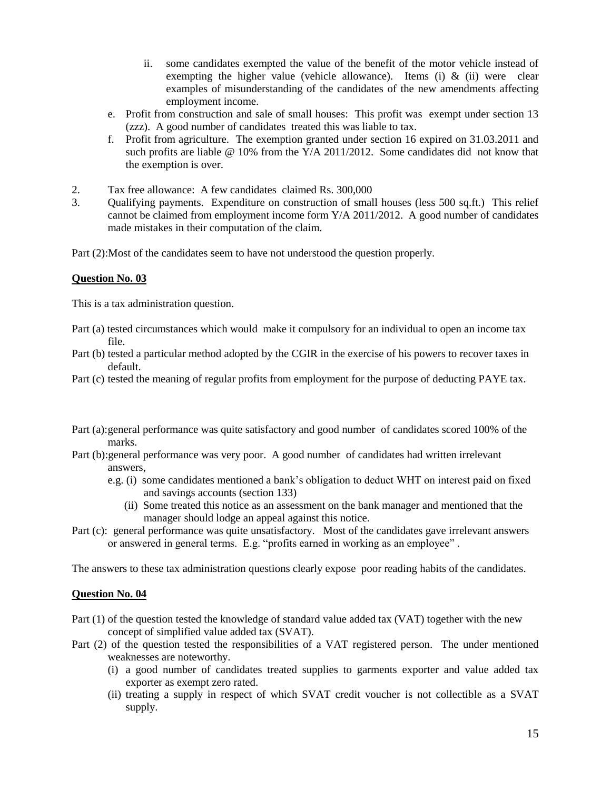- ii. some candidates exempted the value of the benefit of the motor vehicle instead of exempting the higher value (vehicle allowance). Items (i) & (ii) were clear examples of misunderstanding of the candidates of the new amendments affecting employment income.
- e. Profit from construction and sale of small houses: This profit was exempt under section 13 (zzz). A good number of candidates treated this was liable to tax.
- f. Profit from agriculture. The exemption granted under section 16 expired on 31.03.2011 and such profits are liable  $\omega$  10% from the Y/A 2011/2012. Some candidates did not know that the exemption is over.
- 2. Tax free allowance: A few candidates claimed Rs. 300,000
- 3. Qualifying payments. Expenditure on construction of small houses (less 500 sq.ft.) This relief cannot be claimed from employment income form Y/A 2011/2012. A good number of candidates made mistakes in their computation of the claim.

Part (2):Most of the candidates seem to have not understood the question properly.

### **Question No. 03**

This is a tax administration question.

- Part (a) tested circumstances which would make it compulsory for an individual to open an income tax file.
- Part (b) tested a particular method adopted by the CGIR in the exercise of his powers to recover taxes in default.
- Part (c) tested the meaning of regular profits from employment for the purpose of deducting PAYE tax.
- Part (a):general performance was quite satisfactory and good number of candidates scored 100% of the marks.
- Part (b): general performance was very poor. A good number of candidates had written irrelevant answers,
	- e.g. (i) some candidates mentioned a bank"s obligation to deduct WHT on interest paid on fixed and savings accounts (section 133)
		- (ii) Some treated this notice as an assessment on the bank manager and mentioned that the manager should lodge an appeal against this notice.
- Part (c): general performance was quite unsatisfactory. Most of the candidates gave irrelevant answers or answered in general terms. E.g. "profits earned in working as an employee" .

The answers to these tax administration questions clearly expose poor reading habits of the candidates.

### **Question No. 04**

- Part (1) of the question tested the knowledge of standard value added tax (VAT) together with the new concept of simplified value added tax (SVAT).
- Part (2) of the question tested the responsibilities of a VAT registered person. The under mentioned weaknesses are noteworthy.
	- (i) a good number of candidates treated supplies to garments exporter and value added tax exporter as exempt zero rated.
	- (ii) treating a supply in respect of which SVAT credit voucher is not collectible as a SVAT supply.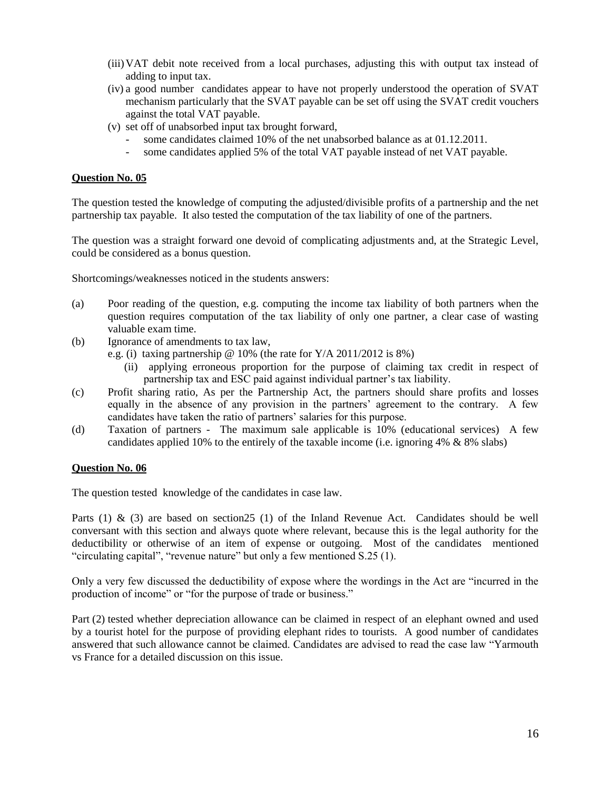- (iii)VAT debit note received from a local purchases, adjusting this with output tax instead of adding to input tax.
- (iv) a good number candidates appear to have not properly understood the operation of SVAT mechanism particularly that the SVAT payable can be set off using the SVAT credit vouchers against the total VAT payable.
- (v) set off of unabsorbed input tax brought forward,
	- some candidates claimed 10% of the net unabsorbed balance as at 01.12.2011.
	- some candidates applied 5% of the total VAT payable instead of net VAT payable.

The question tested the knowledge of computing the adjusted/divisible profits of a partnership and the net partnership tax payable. It also tested the computation of the tax liability of one of the partners.

The question was a straight forward one devoid of complicating adjustments and, at the Strategic Level, could be considered as a bonus question.

Shortcomings/weaknesses noticed in the students answers:

- (a) Poor reading of the question, e.g. computing the income tax liability of both partners when the question requires computation of the tax liability of only one partner, a clear case of wasting valuable exam time.
- (b) Ignorance of amendments to tax law,
	- e.g. (i) taxing partnership  $\omega$  10% (the rate for Y/A 2011/2012 is 8%)
		- (ii) applying erroneous proportion for the purpose of claiming tax credit in respect of partnership tax and ESC paid against individual partner's tax liability.
- (c) Profit sharing ratio, As per the Partnership Act, the partners should share profits and losses equally in the absence of any provision in the partners" agreement to the contrary. A few candidates have taken the ratio of partners' salaries for this purpose.
- (d) Taxation of partners The maximum sale applicable is 10% (educational services) A few candidates applied 10% to the entirely of the taxable income (i.e. ignoring 4%  $& 8\%$  slabs)

### **Question No. 06**

The question tested knowledge of the candidates in case law.

Parts (1) & (3) are based on section25 (1) of the Inland Revenue Act. Candidates should be well conversant with this section and always quote where relevant, because this is the legal authority for the deductibility or otherwise of an item of expense or outgoing. Most of the candidates mentioned "circulating capital", "revenue nature" but only a few mentioned S.25 (1).

Only a very few discussed the deductibility of expose where the wordings in the Act are "incurred in the production of income" or "for the purpose of trade or business."

Part (2) tested whether depreciation allowance can be claimed in respect of an elephant owned and used by a tourist hotel for the purpose of providing elephant rides to tourists. A good number of candidates answered that such allowance cannot be claimed. Candidates are advised to read the case law "Yarmouth vs France for a detailed discussion on this issue.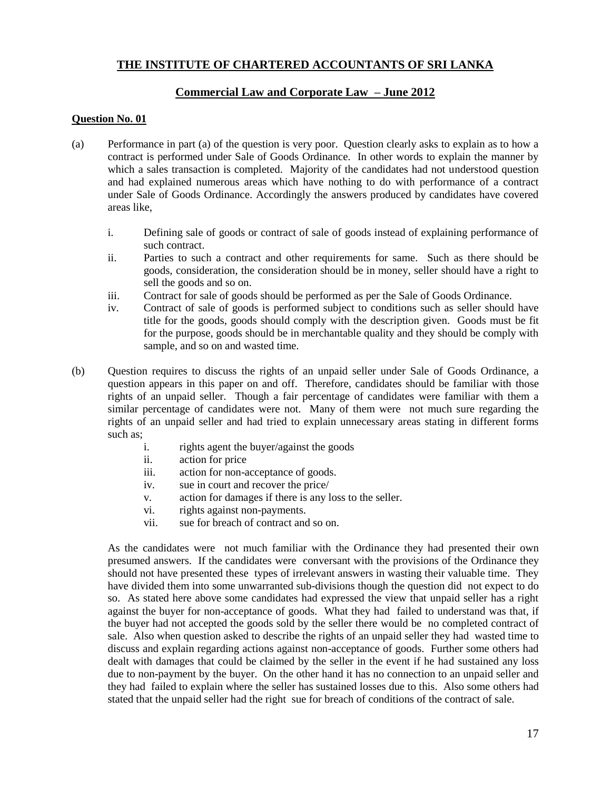# **THE INSTITUTE OF CHARTERED ACCOUNTANTS OF SRI LANKA**

# **Commercial Law and Corporate Law – June 2012**

## **Question No. 01**

- (a) Performance in part (a) of the question is very poor. Question clearly asks to explain as to how a contract is performed under Sale of Goods Ordinance. In other words to explain the manner by which a sales transaction is completed. Majority of the candidates had not understood question and had explained numerous areas which have nothing to do with performance of a contract under Sale of Goods Ordinance. Accordingly the answers produced by candidates have covered areas like,
	- i. Defining sale of goods or contract of sale of goods instead of explaining performance of such contract.
	- ii. Parties to such a contract and other requirements for same. Such as there should be goods, consideration, the consideration should be in money, seller should have a right to sell the goods and so on.
	- iii. Contract for sale of goods should be performed as per the Sale of Goods Ordinance.
	- iv. Contract of sale of goods is performed subject to conditions such as seller should have title for the goods, goods should comply with the description given. Goods must be fit for the purpose, goods should be in merchantable quality and they should be comply with sample, and so on and wasted time.
- (b) Question requires to discuss the rights of an unpaid seller under Sale of Goods Ordinance, a question appears in this paper on and off. Therefore, candidates should be familiar with those rights of an unpaid seller. Though a fair percentage of candidates were familiar with them a similar percentage of candidates were not. Many of them were not much sure regarding the rights of an unpaid seller and had tried to explain unnecessary areas stating in different forms such as;
	- i. rights agent the buyer/against the goods
	- ii. action for price
	- iii. action for non-acceptance of goods.
	- iv. sue in court and recover the price/
	- v. action for damages if there is any loss to the seller.
	- vi. rights against non-payments.
	- vii. sue for breach of contract and so on.

As the candidates were not much familiar with the Ordinance they had presented their own presumed answers. If the candidates were conversant with the provisions of the Ordinance they should not have presented these types of irrelevant answers in wasting their valuable time. They have divided them into some unwarranted sub-divisions though the question did not expect to do so. As stated here above some candidates had expressed the view that unpaid seller has a right against the buyer for non-acceptance of goods. What they had failed to understand was that, if the buyer had not accepted the goods sold by the seller there would be no completed contract of sale. Also when question asked to describe the rights of an unpaid seller they had wasted time to discuss and explain regarding actions against non-acceptance of goods. Further some others had dealt with damages that could be claimed by the seller in the event if he had sustained any loss due to non-payment by the buyer. On the other hand it has no connection to an unpaid seller and they had failed to explain where the seller has sustained losses due to this. Also some others had stated that the unpaid seller had the right sue for breach of conditions of the contract of sale.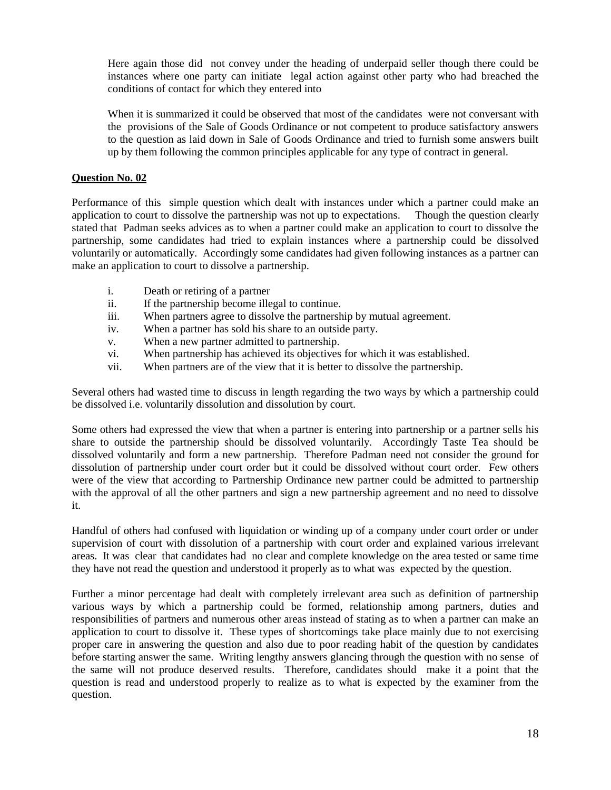Here again those did not convey under the heading of underpaid seller though there could be instances where one party can initiate legal action against other party who had breached the conditions of contact for which they entered into

When it is summarized it could be observed that most of the candidates were not conversant with the provisions of the Sale of Goods Ordinance or not competent to produce satisfactory answers to the question as laid down in Sale of Goods Ordinance and tried to furnish some answers built up by them following the common principles applicable for any type of contract in general.

# **Question No. 02**

Performance of this simple question which dealt with instances under which a partner could make an application to court to dissolve the partnership was not up to expectations. Though the question clearly stated that Padman seeks advices as to when a partner could make an application to court to dissolve the partnership, some candidates had tried to explain instances where a partnership could be dissolved voluntarily or automatically. Accordingly some candidates had given following instances as a partner can make an application to court to dissolve a partnership.

- i. Death or retiring of a partner
- ii. If the partnership become illegal to continue.
- iii. When partners agree to dissolve the partnership by mutual agreement.
- iv. When a partner has sold his share to an outside party.
- v. When a new partner admitted to partnership.
- vi. When partnership has achieved its objectives for which it was established.
- vii. When partners are of the view that it is better to dissolve the partnership.

Several others had wasted time to discuss in length regarding the two ways by which a partnership could be dissolved i.e. voluntarily dissolution and dissolution by court.

Some others had expressed the view that when a partner is entering into partnership or a partner sells his share to outside the partnership should be dissolved voluntarily. Accordingly Taste Tea should be dissolved voluntarily and form a new partnership. Therefore Padman need not consider the ground for dissolution of partnership under court order but it could be dissolved without court order. Few others were of the view that according to Partnership Ordinance new partner could be admitted to partnership with the approval of all the other partners and sign a new partnership agreement and no need to dissolve it.

Handful of others had confused with liquidation or winding up of a company under court order or under supervision of court with dissolution of a partnership with court order and explained various irrelevant areas. It was clear that candidates had no clear and complete knowledge on the area tested or same time they have not read the question and understood it properly as to what was expected by the question.

Further a minor percentage had dealt with completely irrelevant area such as definition of partnership various ways by which a partnership could be formed, relationship among partners, duties and responsibilities of partners and numerous other areas instead of stating as to when a partner can make an application to court to dissolve it. These types of shortcomings take place mainly due to not exercising proper care in answering the question and also due to poor reading habit of the question by candidates before starting answer the same. Writing lengthy answers glancing through the question with no sense of the same will not produce deserved results. Therefore, candidates should make it a point that the question is read and understood properly to realize as to what is expected by the examiner from the question.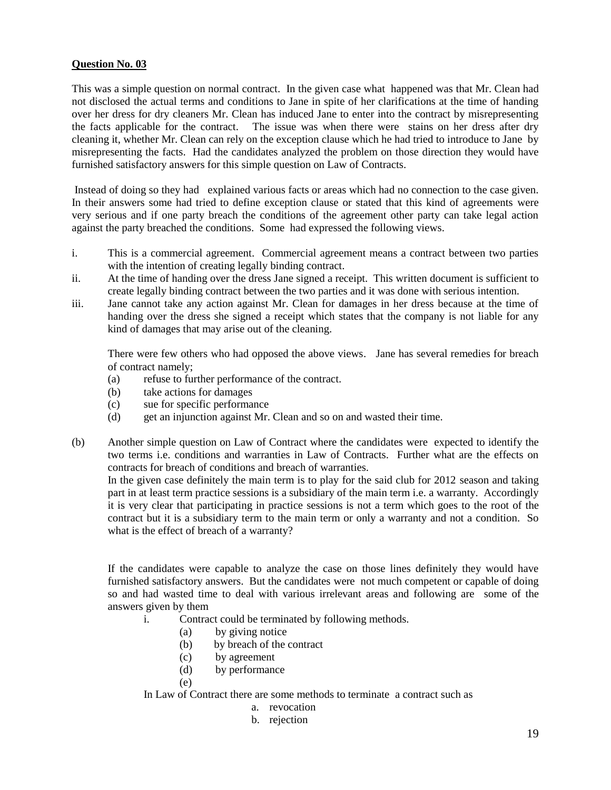This was a simple question on normal contract. In the given case what happened was that Mr. Clean had not disclosed the actual terms and conditions to Jane in spite of her clarifications at the time of handing over her dress for dry cleaners Mr. Clean has induced Jane to enter into the contract by misrepresenting the facts applicable for the contract. The issue was when there were stains on her dress after dry cleaning it, whether Mr. Clean can rely on the exception clause which he had tried to introduce to Jane by misrepresenting the facts. Had the candidates analyzed the problem on those direction they would have furnished satisfactory answers for this simple question on Law of Contracts.

Instead of doing so they had explained various facts or areas which had no connection to the case given. In their answers some had tried to define exception clause or stated that this kind of agreements were very serious and if one party breach the conditions of the agreement other party can take legal action against the party breached the conditions. Some had expressed the following views.

- i. This is a commercial agreement. Commercial agreement means a contract between two parties with the intention of creating legally binding contract.
- ii. At the time of handing over the dress Jane signed a receipt. This written document is sufficient to create legally binding contract between the two parties and it was done with serious intention.
- iii. Jane cannot take any action against Mr. Clean for damages in her dress because at the time of handing over the dress she signed a receipt which states that the company is not liable for any kind of damages that may arise out of the cleaning.

There were few others who had opposed the above views. Jane has several remedies for breach of contract namely;

- (a) refuse to further performance of the contract.
- (b) take actions for damages
- (c) sue for specific performance
- (d) get an injunction against Mr. Clean and so on and wasted their time.
- (b) Another simple question on Law of Contract where the candidates were expected to identify the two terms i.e. conditions and warranties in Law of Contracts. Further what are the effects on contracts for breach of conditions and breach of warranties.

In the given case definitely the main term is to play for the said club for 2012 season and taking part in at least term practice sessions is a subsidiary of the main term i.e. a warranty. Accordingly it is very clear that participating in practice sessions is not a term which goes to the root of the contract but it is a subsidiary term to the main term or only a warranty and not a condition. So what is the effect of breach of a warranty?

If the candidates were capable to analyze the case on those lines definitely they would have furnished satisfactory answers. But the candidates were not much competent or capable of doing so and had wasted time to deal with various irrelevant areas and following are some of the answers given by them

- i. Contract could be terminated by following methods.
	- (a) by giving notice
	- (b) by breach of the contract
	- (c) by agreement
	- (d) by performance
	- (e)

In Law of Contract there are some methods to terminate a contract such as

- a. revocation
- b. rejection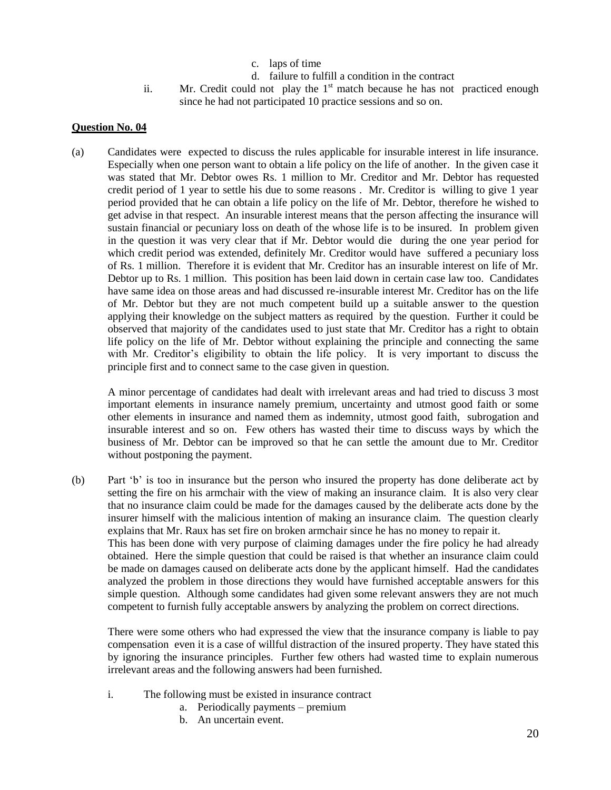- c. laps of time
- d. failure to fulfill a condition in the contract
- ii. Mr. Credit could not play the  $1<sup>st</sup>$  match because he has not practiced enough since he had not participated 10 practice sessions and so on.

(a) Candidates were expected to discuss the rules applicable for insurable interest in life insurance. Especially when one person want to obtain a life policy on the life of another. In the given case it was stated that Mr. Debtor owes Rs. 1 million to Mr. Creditor and Mr. Debtor has requested credit period of 1 year to settle his due to some reasons . Mr. Creditor is willing to give 1 year period provided that he can obtain a life policy on the life of Mr. Debtor, therefore he wished to get advise in that respect. An insurable interest means that the person affecting the insurance will sustain financial or pecuniary loss on death of the whose life is to be insured. In problem given in the question it was very clear that if Mr. Debtor would die during the one year period for which credit period was extended, definitely Mr. Creditor would have suffered a pecuniary loss of Rs. 1 million. Therefore it is evident that Mr. Creditor has an insurable interest on life of Mr. Debtor up to Rs. 1 million. This position has been laid down in certain case law too. Candidates have same idea on those areas and had discussed re-insurable interest Mr. Creditor has on the life of Mr. Debtor but they are not much competent build up a suitable answer to the question applying their knowledge on the subject matters as required by the question. Further it could be observed that majority of the candidates used to just state that Mr. Creditor has a right to obtain life policy on the life of Mr. Debtor without explaining the principle and connecting the same with Mr. Creditor's eligibility to obtain the life policy. It is very important to discuss the principle first and to connect same to the case given in question.

A minor percentage of candidates had dealt with irrelevant areas and had tried to discuss 3 most important elements in insurance namely premium, uncertainty and utmost good faith or some other elements in insurance and named them as indemnity, utmost good faith, subrogation and insurable interest and so on. Few others has wasted their time to discuss ways by which the business of Mr. Debtor can be improved so that he can settle the amount due to Mr. Creditor without postponing the payment.

(b) Part "b" is too in insurance but the person who insured the property has done deliberate act by setting the fire on his armchair with the view of making an insurance claim. It is also very clear that no insurance claim could be made for the damages caused by the deliberate acts done by the insurer himself with the malicious intention of making an insurance claim. The question clearly explains that Mr. Raux has set fire on broken armchair since he has no money to repair it. This has been done with very purpose of claiming damages under the fire policy he had already obtained. Here the simple question that could be raised is that whether an insurance claim could be made on damages caused on deliberate acts done by the applicant himself. Had the candidates analyzed the problem in those directions they would have furnished acceptable answers for this simple question. Although some candidates had given some relevant answers they are not much competent to furnish fully acceptable answers by analyzing the problem on correct directions.

There were some others who had expressed the view that the insurance company is liable to pay compensation even it is a case of willful distraction of the insured property. They have stated this by ignoring the insurance principles. Further few others had wasted time to explain numerous irrelevant areas and the following answers had been furnished.

- i. The following must be existed in insurance contract
	- a. Periodically payments premium
	- b. An uncertain event.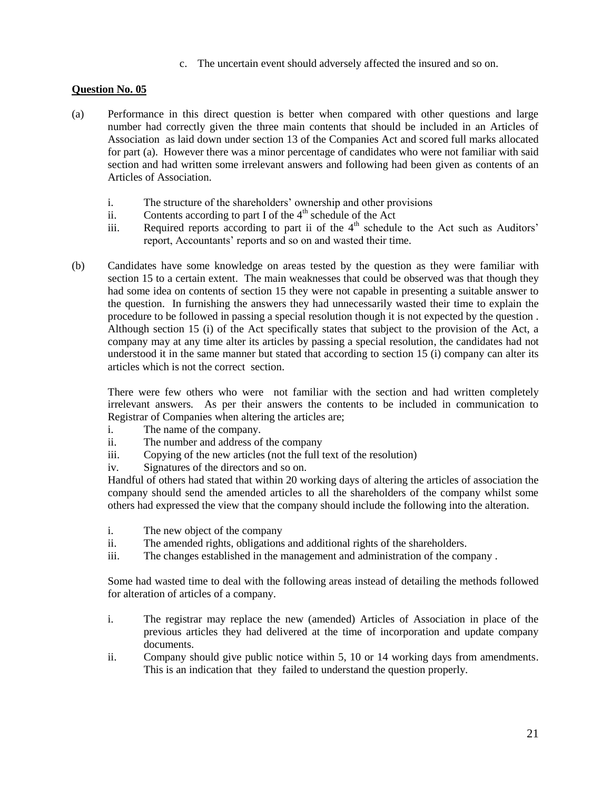c. The uncertain event should adversely affected the insured and so on.

# **Question No. 05**

- (a) Performance in this direct question is better when compared with other questions and large number had correctly given the three main contents that should be included in an Articles of Association as laid down under section 13 of the Companies Act and scored full marks allocated for part (a). However there was a minor percentage of candidates who were not familiar with said section and had written some irrelevant answers and following had been given as contents of an Articles of Association.
	- i. The structure of the shareholders' ownership and other provisions
	- ii. Contents according to part I of the  $4<sup>th</sup>$  schedule of the Act
	- iii. Required reports according to part ii of the  $4<sup>th</sup>$  schedule to the Act such as Auditors' report, Accountants' reports and so on and wasted their time.
- (b) Candidates have some knowledge on areas tested by the question as they were familiar with section 15 to a certain extent. The main weaknesses that could be observed was that though they had some idea on contents of section 15 they were not capable in presenting a suitable answer to the question. In furnishing the answers they had unnecessarily wasted their time to explain the procedure to be followed in passing a special resolution though it is not expected by the question . Although section 15 (i) of the Act specifically states that subject to the provision of the Act, a company may at any time alter its articles by passing a special resolution, the candidates had not understood it in the same manner but stated that according to section 15 (i) company can alter its articles which is not the correct section.

There were few others who were not familiar with the section and had written completely irrelevant answers. As per their answers the contents to be included in communication to Registrar of Companies when altering the articles are;

- i. The name of the company.
- ii. The number and address of the company
- iii. Copying of the new articles (not the full text of the resolution)
- iv. Signatures of the directors and so on.

Handful of others had stated that within 20 working days of altering the articles of association the company should send the amended articles to all the shareholders of the company whilst some others had expressed the view that the company should include the following into the alteration.

- i. The new object of the company
- ii. The amended rights, obligations and additional rights of the shareholders.
- iii. The changes established in the management and administration of the company .

Some had wasted time to deal with the following areas instead of detailing the methods followed for alteration of articles of a company.

- i. The registrar may replace the new (amended) Articles of Association in place of the previous articles they had delivered at the time of incorporation and update company documents.
- ii. Company should give public notice within 5, 10 or 14 working days from amendments. This is an indication that they failed to understand the question properly.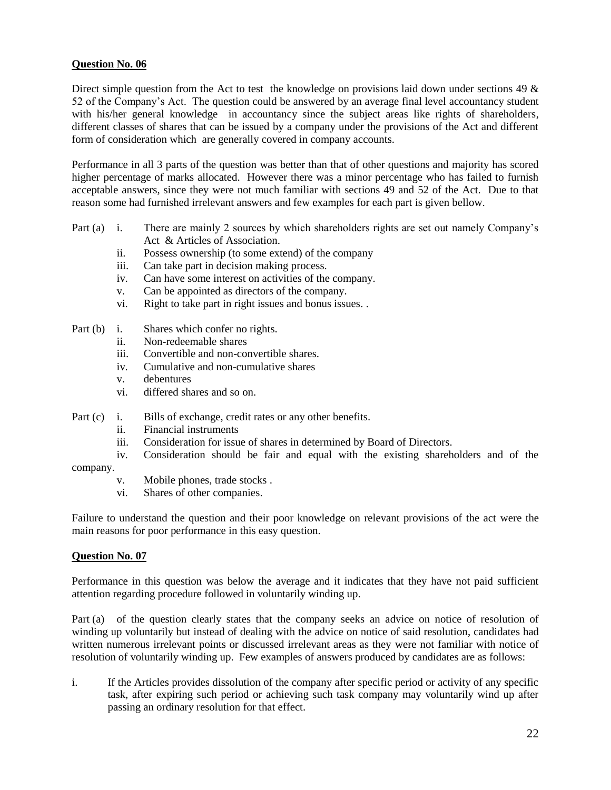Direct simple question from the Act to test the knowledge on provisions laid down under sections 49  $\&$ 52 of the Company"s Act. The question could be answered by an average final level accountancy student with his/her general knowledge in accountancy since the subject areas like rights of shareholders, different classes of shares that can be issued by a company under the provisions of the Act and different form of consideration which are generally covered in company accounts.

Performance in all 3 parts of the question was better than that of other questions and majority has scored higher percentage of marks allocated. However there was a minor percentage who has failed to furnish acceptable answers, since they were not much familiar with sections 49 and 52 of the Act. Due to that reason some had furnished irrelevant answers and few examples for each part is given bellow.

- Part (a) i. There are mainly 2 sources by which shareholders rights are set out namely Company's Act & Articles of Association.
	- ii. Possess ownership (to some extend) of the company
	- iii. Can take part in decision making process.
	- iv. Can have some interest on activities of the company.
	- v. Can be appointed as directors of the company.
	- vi. Right to take part in right issues and bonus issues. .
- Part (b) i. Shares which confer no rights.
	- ii. Non-redeemable shares
	- iii. Convertible and non-convertible shares.
	- iv. Cumulative and non-cumulative shares
	- v. debentures
	- vi. differed shares and so on.
- Part (c) i. Bills of exchange, credit rates or any other benefits.
	- ii. Financial instruments
	- iii. Consideration for issue of shares in determined by Board of Directors.
	- iv. Consideration should be fair and equal with the existing shareholders and of the

company.

- v. Mobile phones, trade stocks .
- vi. Shares of other companies.

Failure to understand the question and their poor knowledge on relevant provisions of the act were the main reasons for poor performance in this easy question.

### **Question No. 07**

Performance in this question was below the average and it indicates that they have not paid sufficient attention regarding procedure followed in voluntarily winding up.

Part (a) of the question clearly states that the company seeks an advice on notice of resolution of winding up voluntarily but instead of dealing with the advice on notice of said resolution, candidates had written numerous irrelevant points or discussed irrelevant areas as they were not familiar with notice of resolution of voluntarily winding up. Few examples of answers produced by candidates are as follows:

i. If the Articles provides dissolution of the company after specific period or activity of any specific task, after expiring such period or achieving such task company may voluntarily wind up after passing an ordinary resolution for that effect.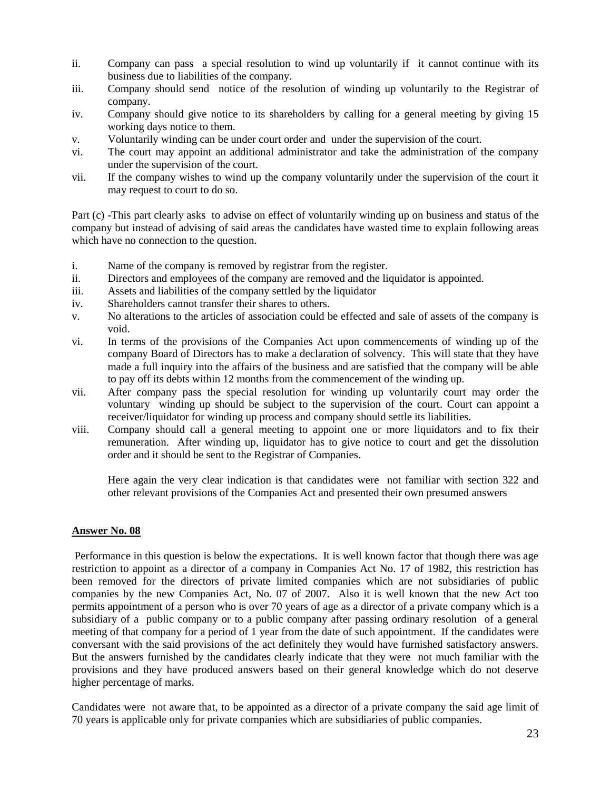- ii. Company can pass a special resolution to wind up voluntarily if it cannot continue with its business due to liabilities of the company.
- iii. Company should send notice of the resolution of winding up voluntarily to the Registrar of company.
- iv. Company should give notice to its shareholders by calling for a general meeting by giving 15 working days notice to them.
- v. Voluntarily winding can be under court order and under the supervision of the court.
- vi. The court may appoint an additional administrator and take the administration of the company under the supervision of the court.
- vii. If the company wishes to wind up the company voluntarily under the supervision of the court it may request to court to do so.

Part (c) -This part clearly asks to advise on effect of voluntarily winding up on business and status of the company but instead of advising of said areas the candidates have wasted time to explain following areas which have no connection to the question.

- i. Name of the company is removed by registrar from the register.
- ii. Directors and employees of the company are removed and the liquidator is appointed.
- iii. Assets and liabilities of the company settled by the liquidator
- iv. Shareholders cannot transfer their shares to others.
- v. No alterations to the articles of association could be effected and sale of assets of the company is void.
- vi. In terms of the provisions of the Companies Act upon commencements of winding up of the company Board of Directors has to make a declaration of solvency. This will state that they have made a full inquiry into the affairs of the business and are satisfied that the company will be able to pay off its debts within 12 months from the commencement of the winding up.
- vii. After company pass the special resolution for winding up voluntarily court may order the voluntary winding up should be subject to the supervision of the court. Court can appoint a receiver/liquidator for winding up process and company should settle its liabilities.
- viii. Company should call a general meeting to appoint one or more liquidators and to fix their remuneration. After winding up, liquidator has to give notice to court and get the dissolution order and it should be sent to the Registrar of Companies.

Here again the very clear indication is that candidates were not familiar with section 322 and other relevant provisions of the Companies Act and presented their own presumed answers

### **Answer No. 08**

Performance in this question is below the expectations. It is well known factor that though there was age restriction to appoint as a director of a company in Companies Act No. 17 of 1982, this restriction has been removed for the directors of private limited companies which are not subsidiaries of public companies by the new Companies Act, No. 07 of 2007. Also it is well known that the new Act too permits appointment of a person who is over 70 years of age as a director of a private company which is a subsidiary of a public company or to a public company after passing ordinary resolution of a general meeting of that company for a period of 1 year from the date of such appointment. If the candidates were conversant with the said provisions of the act definitely they would have furnished satisfactory answers. But the answers furnished by the candidates clearly indicate that they were not much familiar with the provisions and they have produced answers based on their general knowledge which do not deserve higher percentage of marks.

Candidates were not aware that, to be appointed as a director of a private company the said age limit of 70 years is applicable only for private companies which are subsidiaries of public companies.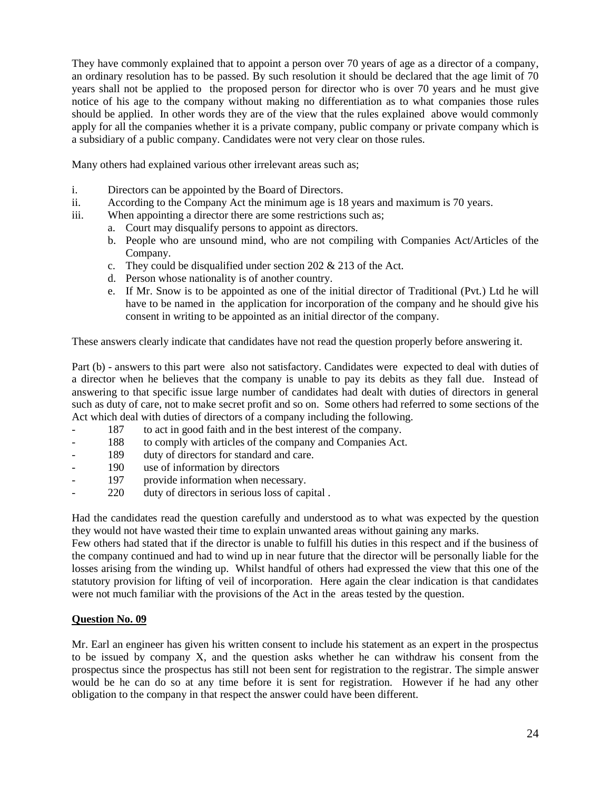They have commonly explained that to appoint a person over 70 years of age as a director of a company, an ordinary resolution has to be passed. By such resolution it should be declared that the age limit of 70 years shall not be applied to the proposed person for director who is over 70 years and he must give notice of his age to the company without making no differentiation as to what companies those rules should be applied. In other words they are of the view that the rules explained above would commonly apply for all the companies whether it is a private company, public company or private company which is a subsidiary of a public company. Candidates were not very clear on those rules.

Many others had explained various other irrelevant areas such as;

- i. Directors can be appointed by the Board of Directors.
- ii. According to the Company Act the minimum age is 18 years and maximum is 70 years.
- iii. When appointing a director there are some restrictions such as;
	- a. Court may disqualify persons to appoint as directors.
	- b. People who are unsound mind, who are not compiling with Companies Act/Articles of the Company.
	- c. They could be disqualified under section 202 & 213 of the Act.
	- d. Person whose nationality is of another country.
	- e. If Mr. Snow is to be appointed as one of the initial director of Traditional (Pvt.) Ltd he will have to be named in the application for incorporation of the company and he should give his consent in writing to be appointed as an initial director of the company.

These answers clearly indicate that candidates have not read the question properly before answering it.

Part (b) - answers to this part were also not satisfactory. Candidates were expected to deal with duties of a director when he believes that the company is unable to pay its debits as they fall due. Instead of answering to that specific issue large number of candidates had dealt with duties of directors in general such as duty of care, not to make secret profit and so on. Some others had referred to some sections of the Act which deal with duties of directors of a company including the following.

- 187 to act in good faith and in the best interest of the company.
- 188 to comply with articles of the company and Companies Act.
- 189 duty of directors for standard and care.
- 190 use of information by directors
- 197 provide information when necessary.
- 220 duty of directors in serious loss of capital.

Had the candidates read the question carefully and understood as to what was expected by the question they would not have wasted their time to explain unwanted areas without gaining any marks.

Few others had stated that if the director is unable to fulfill his duties in this respect and if the business of the company continued and had to wind up in near future that the director will be personally liable for the losses arising from the winding up. Whilst handful of others had expressed the view that this one of the statutory provision for lifting of veil of incorporation. Here again the clear indication is that candidates were not much familiar with the provisions of the Act in the areas tested by the question.

### **Question No. 09**

Mr. Earl an engineer has given his written consent to include his statement as an expert in the prospectus to be issued by company X, and the question asks whether he can withdraw his consent from the prospectus since the prospectus has still not been sent for registration to the registrar. The simple answer would be he can do so at any time before it is sent for registration. However if he had any other obligation to the company in that respect the answer could have been different.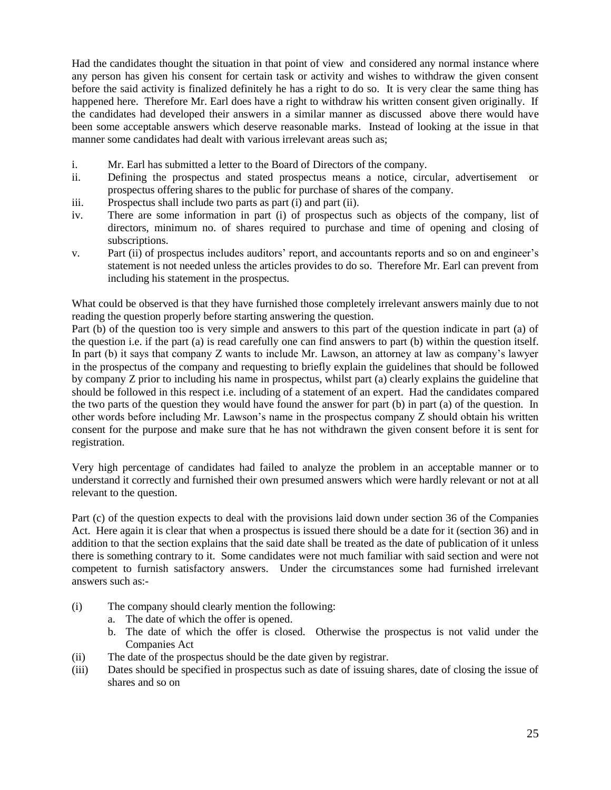Had the candidates thought the situation in that point of view and considered any normal instance where any person has given his consent for certain task or activity and wishes to withdraw the given consent before the said activity is finalized definitely he has a right to do so. It is very clear the same thing has happened here. Therefore Mr. Earl does have a right to withdraw his written consent given originally. If the candidates had developed their answers in a similar manner as discussed above there would have been some acceptable answers which deserve reasonable marks. Instead of looking at the issue in that manner some candidates had dealt with various irrelevant areas such as:

- i. Mr. Earl has submitted a letter to the Board of Directors of the company.
- ii. Defining the prospectus and stated prospectus means a notice, circular, advertisement or prospectus offering shares to the public for purchase of shares of the company.
- iii. Prospectus shall include two parts as part (i) and part (ii).
- iv. There are some information in part (i) of prospectus such as objects of the company, list of directors, minimum no. of shares required to purchase and time of opening and closing of subscriptions.
- v. Part (ii) of prospectus includes auditors" report, and accountants reports and so on and engineer"s statement is not needed unless the articles provides to do so. Therefore Mr. Earl can prevent from including his statement in the prospectus.

What could be observed is that they have furnished those completely irrelevant answers mainly due to not reading the question properly before starting answering the question.

Part (b) of the question too is very simple and answers to this part of the question indicate in part (a) of the question i.e. if the part (a) is read carefully one can find answers to part (b) within the question itself. In part (b) it says that company Z wants to include Mr. Lawson, an attorney at law as company"s lawyer in the prospectus of the company and requesting to briefly explain the guidelines that should be followed by company Z prior to including his name in prospectus, whilst part (a) clearly explains the guideline that should be followed in this respect i.e. including of a statement of an expert. Had the candidates compared the two parts of the question they would have found the answer for part (b) in part (a) of the question. In other words before including Mr. Lawson"s name in the prospectus company Z should obtain his written consent for the purpose and make sure that he has not withdrawn the given consent before it is sent for registration.

Very high percentage of candidates had failed to analyze the problem in an acceptable manner or to understand it correctly and furnished their own presumed answers which were hardly relevant or not at all relevant to the question.

Part (c) of the question expects to deal with the provisions laid down under section 36 of the Companies Act. Here again it is clear that when a prospectus is issued there should be a date for it (section 36) and in addition to that the section explains that the said date shall be treated as the date of publication of it unless there is something contrary to it. Some candidates were not much familiar with said section and were not competent to furnish satisfactory answers. Under the circumstances some had furnished irrelevant answers such as:-

- (i) The company should clearly mention the following:
	- a. The date of which the offer is opened.
	- b. The date of which the offer is closed. Otherwise the prospectus is not valid under the Companies Act
- (ii) The date of the prospectus should be the date given by registrar.
- (iii) Dates should be specified in prospectus such as date of issuing shares, date of closing the issue of shares and so on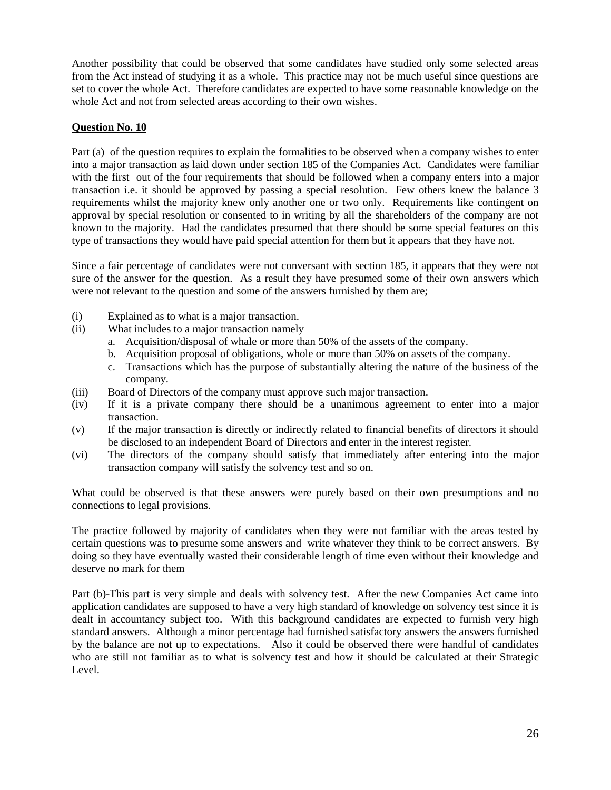Another possibility that could be observed that some candidates have studied only some selected areas from the Act instead of studying it as a whole. This practice may not be much useful since questions are set to cover the whole Act. Therefore candidates are expected to have some reasonable knowledge on the whole Act and not from selected areas according to their own wishes.

# **Question No. 10**

Part (a) of the question requires to explain the formalities to be observed when a company wishes to enter into a major transaction as laid down under section 185 of the Companies Act. Candidates were familiar with the first out of the four requirements that should be followed when a company enters into a major transaction i.e. it should be approved by passing a special resolution. Few others knew the balance 3 requirements whilst the majority knew only another one or two only. Requirements like contingent on approval by special resolution or consented to in writing by all the shareholders of the company are not known to the majority. Had the candidates presumed that there should be some special features on this type of transactions they would have paid special attention for them but it appears that they have not.

Since a fair percentage of candidates were not conversant with section 185, it appears that they were not sure of the answer for the question. As a result they have presumed some of their own answers which were not relevant to the question and some of the answers furnished by them are;

- (i) Explained as to what is a major transaction.
- (ii) What includes to a major transaction namely
	- a. Acquisition/disposal of whale or more than 50% of the assets of the company.
	- b. Acquisition proposal of obligations, whole or more than 50% on assets of the company.
	- c. Transactions which has the purpose of substantially altering the nature of the business of the company.
- (iii) Board of Directors of the company must approve such major transaction.
- (iv) If it is a private company there should be a unanimous agreement to enter into a major transaction.
- (v) If the major transaction is directly or indirectly related to financial benefits of directors it should be disclosed to an independent Board of Directors and enter in the interest register.
- (vi) The directors of the company should satisfy that immediately after entering into the major transaction company will satisfy the solvency test and so on.

What could be observed is that these answers were purely based on their own presumptions and no connections to legal provisions.

The practice followed by majority of candidates when they were not familiar with the areas tested by certain questions was to presume some answers and write whatever they think to be correct answers. By doing so they have eventually wasted their considerable length of time even without their knowledge and deserve no mark for them

Part (b)-This part is very simple and deals with solvency test. After the new Companies Act came into application candidates are supposed to have a very high standard of knowledge on solvency test since it is dealt in accountancy subject too. With this background candidates are expected to furnish very high standard answers. Although a minor percentage had furnished satisfactory answers the answers furnished by the balance are not up to expectations. Also it could be observed there were handful of candidates who are still not familiar as to what is solvency test and how it should be calculated at their Strategic Level.